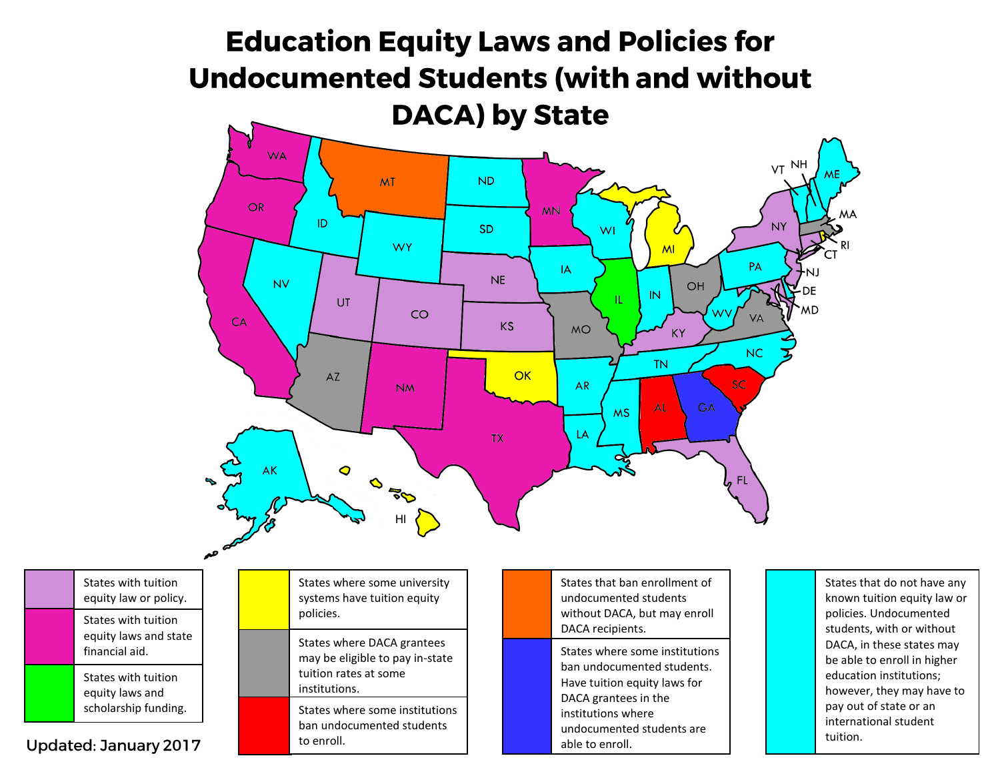## **Education Equity Laws and Policies for Undocumented Students (with and without DACA) by State WA** VT NH **MT ND**  $OR$ **MN** ID N١ **SD** WI **WY** MI PA IA **NE NV** OH DE IN TL. UT MD CO **VA** CA **KS MO KY NC TN**  $AZ$  $OK$ SC **AR NM AL** GA **MS** LA **TX**  $\bullet$ АK OFO FL.

States with tuition equity laws and state financial aid . States with tuition equity law or policy . States with tuition equity laws and scholarship funding .

Updated: January 2017

States where some university systems have tuition equity policies .

HI

States where DACA grantees may be eligible to pay in -state tuition rates at some institutions .

States where some institutions ban undocumented students to enroll.

States that ban enrollment of undocumented students without DACA, but may enroll DACA recipients .

States where some institutions ban undocumented students. Have tuition equity laws for DACA grantees in the institutions where undocumented students are able to enroll.

States that do not have any known tuition equity law or policies. Undocumented students, with or without DACA, in these states may be able to enroll in higher education institutions; however, they may have to pay out of state or an international student tuition.